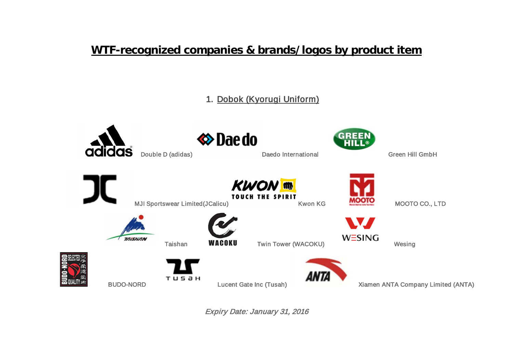# **WTF-recognized companies & brands/logos by product item**

1. Dobok (Kyorugi Uniform)

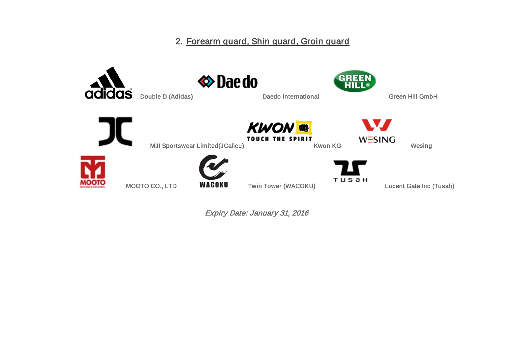2. Forearm guard, Shin guard, Groin guard

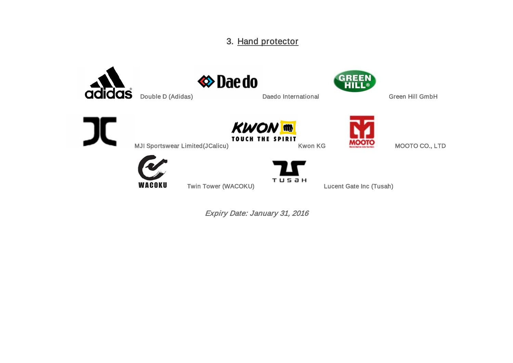## 3. Hand protector



WACOKU

Twin Tower (WACOKU) Lucent Gate Inc (Tusah)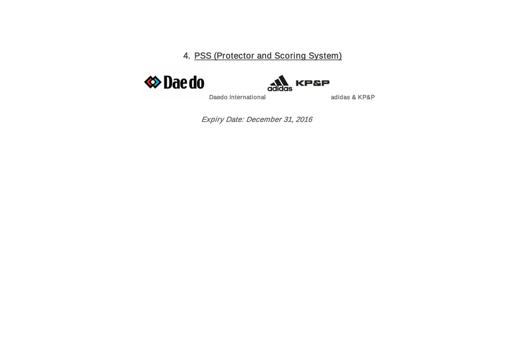4. PSS (Protector and Scoring System)





Daedo International adidas & KP&P

Expiry Date: December 31, 2016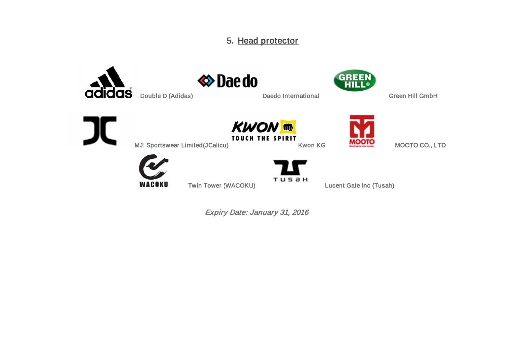## 5. Head protector

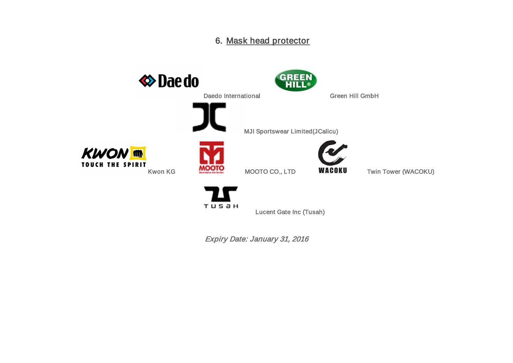#### 6. Mask head protector



**TUSƏH** 

Lucent Gate Inc (Tusah)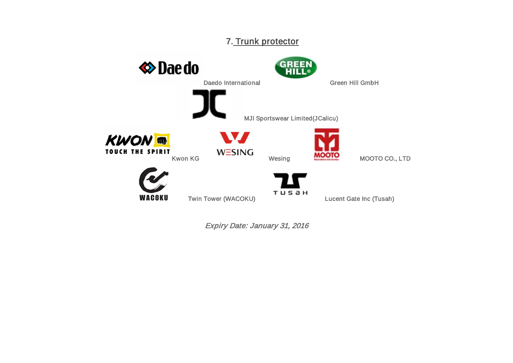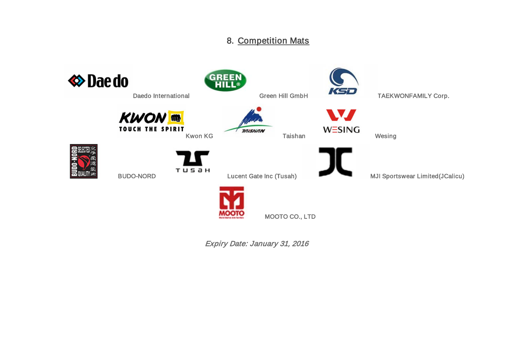## 8. Competition Mats

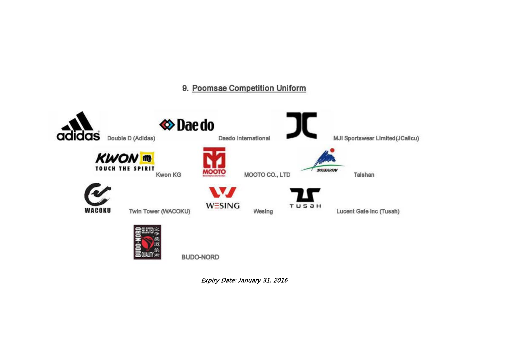#### 9. Poomsae Competition Uniform